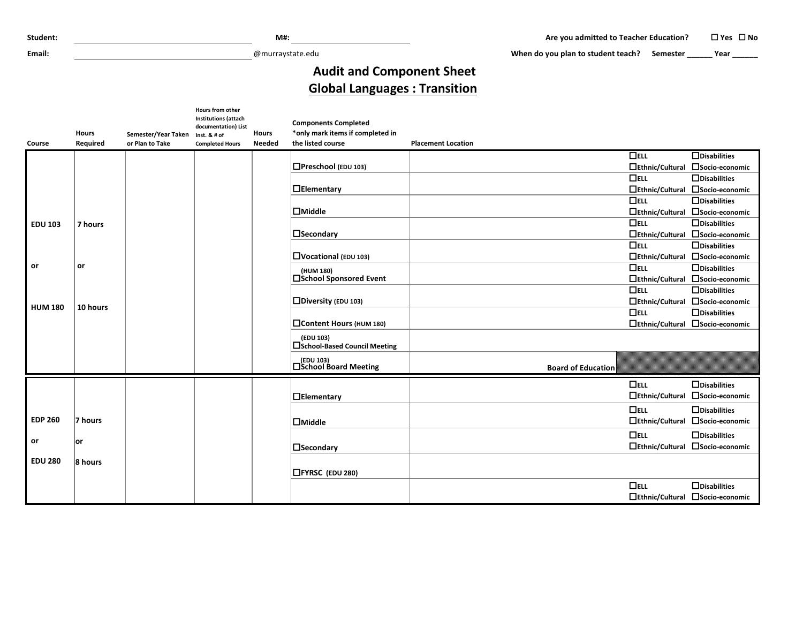**Email:** @murraystate.edu

When do you plan to student teach? Semester **\_\_\_\_\_\_** Year **\_\_\_\_\_\_** 

## **Audit and Component Sheet Global Languages : Transition**

| <b>Course</b>  | <b>Hours</b><br>Required | Semester/Year Taken Inst. & # of<br>or Plan to Take | Hours from other<br><b>Institutions (attach</b><br>documentation) List<br><b>Completed Hours</b> | <b>Hours</b><br><b>Needed</b> | <b>Components Completed</b><br>*only mark items if completed in<br>the listed course | <b>Placement Location</b> |                                                         |
|----------------|--------------------------|-----------------------------------------------------|--------------------------------------------------------------------------------------------------|-------------------------------|--------------------------------------------------------------------------------------|---------------------------|---------------------------------------------------------|
|                |                          |                                                     |                                                                                                  |                               |                                                                                      | $\Box$ ELL                | $\Box$ Disabilities                                     |
|                |                          |                                                     |                                                                                                  |                               | $\Box$ Preschool (EDU 103)                                                           | □Ethnic/Cultural          | □Socio-economic                                         |
|                |                          |                                                     |                                                                                                  |                               |                                                                                      | $\Box$ ELL                | $\Box$ Disabilities                                     |
|                |                          |                                                     |                                                                                                  |                               | $\Box$ Elementary                                                                    | $\Box$ Ethnic/Cultural    | □Socio-economic                                         |
|                |                          |                                                     |                                                                                                  |                               |                                                                                      | $\Box$ ELL                | $\Box$ Disabilities                                     |
|                |                          |                                                     |                                                                                                  |                               | $\Box$ Middle                                                                        |                           | □Ethnic/Cultural □Socio-economic                        |
| <b>EDU 103</b> | 7 hours                  |                                                     |                                                                                                  |                               |                                                                                      | $\Box$ ELL                | $\Box$ Disabilities                                     |
|                |                          |                                                     |                                                                                                  |                               | $\Box$ Secondary                                                                     | □Ethnic/Cultural          | □Socio-economic                                         |
|                |                          |                                                     |                                                                                                  |                               |                                                                                      | $\Box$ ELL                | $\Box$ Disabilities                                     |
| or             | or                       |                                                     |                                                                                                  |                               | $\Box$ Vocational (EDU 103)                                                          |                           | □Ethnic/Cultural □Socio-economic                        |
|                |                          |                                                     |                                                                                                  |                               | (HUM 180)                                                                            | $\Box$ ELL                | $\Box$ Disabilities                                     |
|                |                          |                                                     |                                                                                                  |                               | □School Sponsored Event                                                              | $\Box$ ELL                | □Ethnic/Cultural □Socio-economic<br>$\Box$ Disabilities |
|                |                          |                                                     |                                                                                                  |                               | $\square$ Diversity (EDU 103)                                                        |                           | □Ethnic/Cultural □Socio-economic                        |
| <b>HUM 180</b> | 10 hours                 |                                                     |                                                                                                  |                               |                                                                                      | $\Box$ ELL                | $\Box$ Disabilities                                     |
|                |                          |                                                     |                                                                                                  |                               | Content Hours (HUM 180)                                                              |                           | □Ethnic/Cultural □Socio-economic                        |
|                |                          |                                                     |                                                                                                  |                               | (EDU 103)<br>□School-Based Council Meeting                                           |                           |                                                         |
|                |                          |                                                     |                                                                                                  |                               | (EDU 103)<br>□School Board Meeting                                                   | <b>Board of Education</b> |                                                         |
|                |                          |                                                     |                                                                                                  |                               |                                                                                      | $\Box$ ELL                | $\Box$ Disabilities                                     |
|                |                          |                                                     |                                                                                                  |                               | $\Box$ Elementary                                                                    | $\Box$ Ethnic/Cultural    | □Socio-economic                                         |
|                |                          |                                                     |                                                                                                  |                               |                                                                                      | $\Box$ ELL                | $\Box$ Disabilities                                     |
| <b>EDP 260</b> | 7 hours                  |                                                     |                                                                                                  |                               | $\Box$ Middle                                                                        | $\Box$ Ethnic/Cultural    | □Socio-economic                                         |
|                |                          |                                                     |                                                                                                  |                               |                                                                                      | $\Box$ ELL                | $\Box$ Disabilities                                     |
| or             | lor                      |                                                     |                                                                                                  |                               | <b>N</b> Secondary                                                                   |                           | □Ethnic/Cultural □Socio-economic                        |
| <b>EDU 280</b> | 8 hours                  |                                                     |                                                                                                  |                               |                                                                                      |                           |                                                         |
|                |                          |                                                     |                                                                                                  |                               | $\Box$ FYRSC (EDU 280)                                                               |                           |                                                         |
|                |                          |                                                     |                                                                                                  |                               |                                                                                      | $\Box$ ELL                | $\Box$ Disabilities                                     |
|                |                          |                                                     |                                                                                                  |                               |                                                                                      |                           | □Ethnic/Cultural □Socio-economic                        |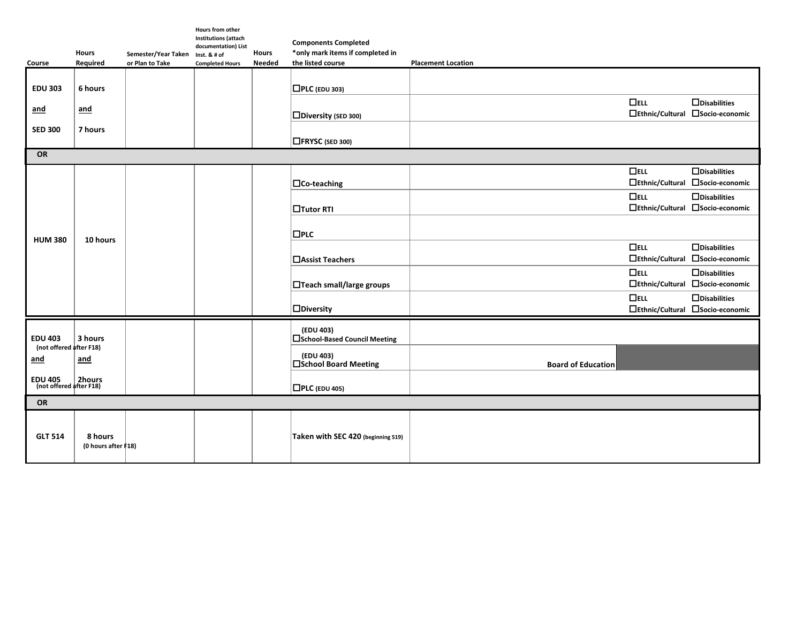| Course                                                     | <b>Hours</b><br>Required               | Semester/Year Taken Inst. & # of<br>or Plan to Take | Hours from other<br><b>Institutions (attach</b><br>documentation) List<br><b>Completed Hours</b> | <b>Hours</b><br><b>Needed</b> | <b>Components Completed</b><br>*only mark items if completed in<br>the listed course | <b>Placement Location</b>            |                                                         |  |  |  |
|------------------------------------------------------------|----------------------------------------|-----------------------------------------------------|--------------------------------------------------------------------------------------------------|-------------------------------|--------------------------------------------------------------------------------------|--------------------------------------|---------------------------------------------------------|--|--|--|
| <b>EDU 303</b>                                             | 6 hours                                |                                                     |                                                                                                  |                               | $\Box$ PLC (EDU 303)                                                                 |                                      |                                                         |  |  |  |
| and                                                        | and                                    |                                                     |                                                                                                  |                               | $\Box$ Diversity (SED 300)                                                           | $\Box$ ELL                           | $\Box$ Disabilities<br>□Ethnic/Cultural □Socio-economic |  |  |  |
| <b>SED 300</b>                                             | 7 hours                                |                                                     |                                                                                                  |                               | $\Box$ FRYSC (SED 300)                                                               |                                      |                                                         |  |  |  |
| OR                                                         |                                        |                                                     |                                                                                                  |                               |                                                                                      |                                      |                                                         |  |  |  |
|                                                            |                                        |                                                     |                                                                                                  |                               | $\Box$ Co-teaching                                                                   | $\Box$ ELL<br>$\Box$ Ethnic/Cultural | $\Box$ Disabilities<br>□Socio-economic                  |  |  |  |
|                                                            |                                        |                                                     |                                                                                                  |                               | <b>Tutor RTI</b>                                                                     | $\Box$ ELL                           | $\Box$ Disabilities<br>□Ethnic/Cultural □Socio-economic |  |  |  |
| <b>HUM 380</b>                                             | 10 hours                               |                                                     |                                                                                                  |                               | $\Box$ PLC                                                                           |                                      |                                                         |  |  |  |
|                                                            |                                        |                                                     |                                                                                                  |                               | <b>□Assist Teachers</b>                                                              | $\Box$ ELL<br>$\Box$ Ethnic/Cultural | $\Box$ Disabilities<br>□Socio-economic                  |  |  |  |
|                                                            |                                        |                                                     |                                                                                                  |                               | $\Box$ Teach small/large groups                                                      | $\Box$ ELL<br>$\Box$ Ethnic/Cultural | $\Box$ Disabilities<br>□Socio-economic                  |  |  |  |
|                                                            |                                        |                                                     |                                                                                                  |                               | $\square$ Diversity                                                                  | $\Box$ ELL                           | $\Box$ Disabilities<br>□Ethnic/Cultural □Socio-economic |  |  |  |
| <b>EDU 403</b>                                             | 3 hours                                |                                                     |                                                                                                  |                               | (EDU 403)<br>□ School-Based Council Meeting                                          |                                      |                                                         |  |  |  |
| (not offered after F18)<br>and                             | and                                    |                                                     |                                                                                                  |                               | (EDU 403)<br>□School Board Meeting                                                   | <b>Board of Education</b>            |                                                         |  |  |  |
| DU 405 2hours<br>(not offered after F18)<br><b>EDU 405</b> |                                        |                                                     |                                                                                                  |                               | $\Box$ PLC (EDU 405)                                                                 |                                      |                                                         |  |  |  |
| OR                                                         |                                        |                                                     |                                                                                                  |                               |                                                                                      |                                      |                                                         |  |  |  |
| <b>GLT 514</b>                                             | 8 hours<br>(0 hours after $\sharp$ 18) |                                                     |                                                                                                  |                               | Taken with SEC 420 (beginning S19)                                                   |                                      |                                                         |  |  |  |